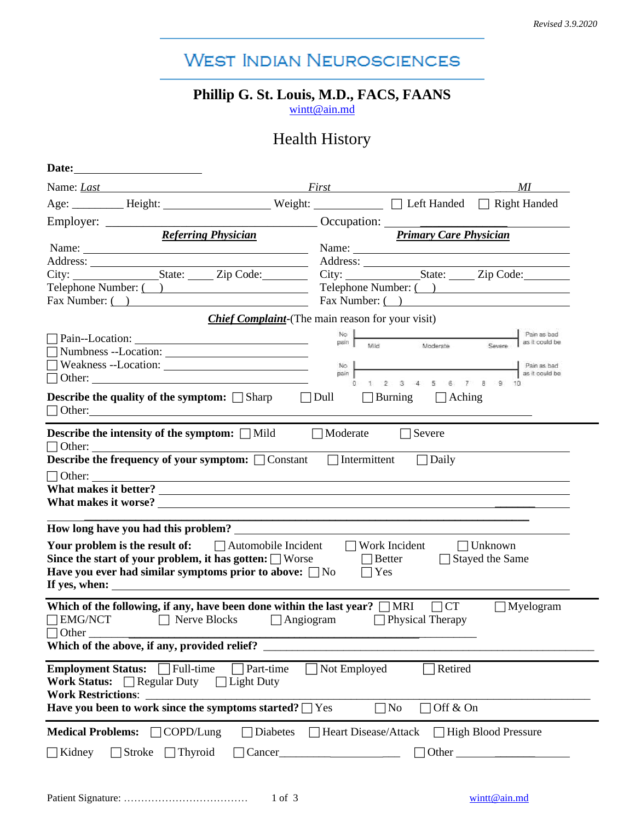# **WEST INDIAN NEUROSCIENCES**

### **Phillip G. St. Louis, M.D., FACS, FAANS**

[wintt@ain.md](mailto:wintt@ain.md)

## Health History

| Name: <i>Last</i>                                                                                                                                                                                                                                                                                                   | ΜI<br><i>First</i> First <b>First First First First First First First First</b>                 |
|---------------------------------------------------------------------------------------------------------------------------------------------------------------------------------------------------------------------------------------------------------------------------------------------------------------------|-------------------------------------------------------------------------------------------------|
|                                                                                                                                                                                                                                                                                                                     | Age: _________ Height: _______________ Weight: __________ [ ] Left Handed [ ] Right Handed      |
|                                                                                                                                                                                                                                                                                                                     |                                                                                                 |
| <b>Referring Physician</b>                                                                                                                                                                                                                                                                                          | <b>Primary Care Physician</b>                                                                   |
| Name:                                                                                                                                                                                                                                                                                                               |                                                                                                 |
|                                                                                                                                                                                                                                                                                                                     |                                                                                                 |
| City: State: Zip Code:                                                                                                                                                                                                                                                                                              | City: State: Zip Code:                                                                          |
| Telephone Number: ( )                                                                                                                                                                                                                                                                                               | Telephone Number: ( )                                                                           |
| Fax Number: ()                                                                                                                                                                                                                                                                                                      | Fax Number: ( )                                                                                 |
|                                                                                                                                                                                                                                                                                                                     | <b>Chief Complaint-</b> (The main reason for your visit)                                        |
|                                                                                                                                                                                                                                                                                                                     | No  <br>Pain as bad<br>as it could be<br>Mild<br>Moderate                                       |
|                                                                                                                                                                                                                                                                                                                     |                                                                                                 |
|                                                                                                                                                                                                                                                                                                                     | No<br>as it could be<br>pain                                                                    |
|                                                                                                                                                                                                                                                                                                                     | 2 3 4 5 6 7 8 9                                                                                 |
| <b>Describe the quality of the symptom:</b> Sharp Dull                                                                                                                                                                                                                                                              | $\Box$ Burning $\Box$ Aching                                                                    |
|                                                                                                                                                                                                                                                                                                                     |                                                                                                 |
|                                                                                                                                                                                                                                                                                                                     |                                                                                                 |
|                                                                                                                                                                                                                                                                                                                     | $\Box$ Work Incident<br>$\Box$ Unknown<br>$\Box$ Stayed the Same<br>$\Box$ Better<br>$\Box$ Yes |
| Your problem is the result of: $\Box$ Automobile Incident                                                                                                                                                                                                                                                           |                                                                                                 |
| □ Nerve Blocks □ Angiogram □ Physical Therapy                                                                                                                                                                                                                                                                       | $\Box$ Myelogram                                                                                |
|                                                                                                                                                                                                                                                                                                                     |                                                                                                 |
| What makes it worse?<br>Since the start of your problem, it has gotten: $\Box$ Worse<br>Have you ever had similar symptoms prior to above: $\Box$ No<br>Which of the following, if any, have been done within the last year? $\Box$ MRI $\Box$ CT<br>$\Box$ EMG/NCT<br>Which of the above, if any, provided relief? |                                                                                                 |
| Part-time<br><b>Work Status:</b> $\Box$ Regular Duty<br>$\Box$ Light Duty                                                                                                                                                                                                                                           | Retired<br>Not Employed                                                                         |
| If yes, when:<br>$\Box$ Other<br>Employment Status: Full-time<br><b>Work Restrictions:</b><br>Have you been to work since the symptoms started? $\Box$ Yes                                                                                                                                                          | Off & On<br>N <sub>0</sub><br>×                                                                 |
|                                                                                                                                                                                                                                                                                                                     |                                                                                                 |
| Medical Problems: COPD/Lung<br>Diabetes<br>$\Box$ Kidney<br>$\Box$ Stroke $\Box$ Thyroid<br>Cancer_                                                                                                                                                                                                                 | □ Heart Disease/Attack □ High Blood Pressure                                                    |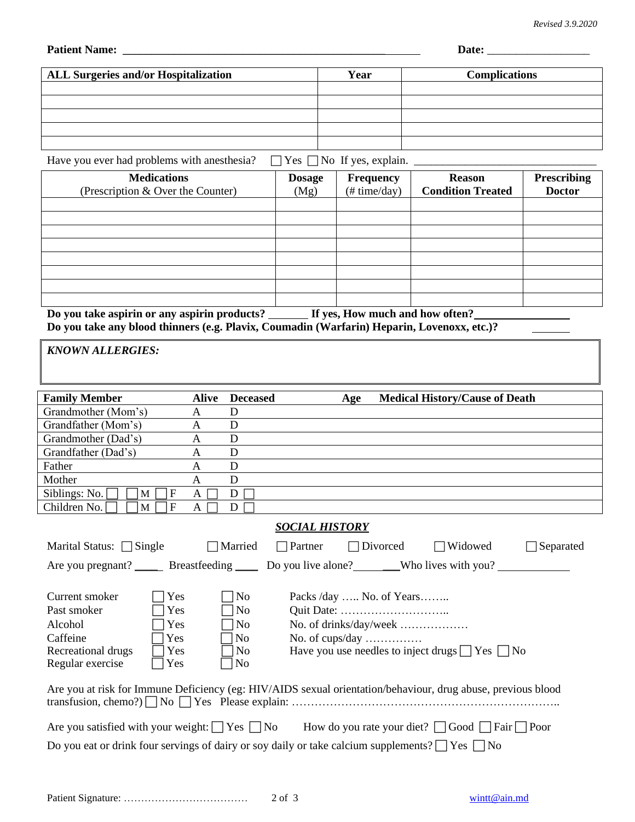**Patient Name:** \_\_\_\_\_\_\_\_\_\_\_\_\_\_\_\_\_\_\_\_\_\_\_\_\_\_\_\_\_\_\_\_\_\_\_\_\_\_\_\_\_\_\_\_\_\_ **Date:** \_\_\_\_\_\_\_\_\_\_\_\_\_\_\_\_\_\_

| <b>ALL Surgeries and/or Hospitalization</b> | Year | <b>Complications</b> |
|---------------------------------------------|------|----------------------|
|                                             |      |                      |
|                                             |      |                      |
|                                             |      |                      |
|                                             |      |                      |
|                                             |      |                      |

Have you ever had problems with anesthesia?  $\Box$  Yes  $\Box$  No If yes, explain.  $\Box$ 

| <b>Medications</b><br>(Prescription & Over the Counter)                         | <b>Dosage</b><br>(Mg) | <b>Frequency</b><br>$(\# time/day)$ | <b>Reason</b><br><b>Condition Treated</b> | <b>Prescribing</b><br><b>Doctor</b> |
|---------------------------------------------------------------------------------|-----------------------|-------------------------------------|-------------------------------------------|-------------------------------------|
|                                                                                 |                       |                                     |                                           |                                     |
|                                                                                 |                       |                                     |                                           |                                     |
|                                                                                 |                       |                                     |                                           |                                     |
|                                                                                 |                       |                                     |                                           |                                     |
|                                                                                 |                       |                                     |                                           |                                     |
|                                                                                 |                       |                                     |                                           |                                     |
|                                                                                 |                       |                                     |                                           |                                     |
|                                                                                 |                       |                                     |                                           |                                     |
| Do you take aspirin or any aspirin products?<br>If yes, How much and how often? |                       |                                     |                                           |                                     |

**Do you take any blood thinners (e.g. Plavix, Coumadin (Warfarin) Heparin, Lovenoxx, etc.)?** 

*KNOWN ALLERGIES:*

| <b>Family Member</b>                                                                                                                                                                                                                                                                                                                                 | <b>Alive</b> | <b>Deceased</b>     |                          | Age |                 | <b>Medical History/Cause of Death</b>                     |           |
|------------------------------------------------------------------------------------------------------------------------------------------------------------------------------------------------------------------------------------------------------------------------------------------------------------------------------------------------------|--------------|---------------------|--------------------------|-----|-----------------|-----------------------------------------------------------|-----------|
| Grandmother (Mom's)                                                                                                                                                                                                                                                                                                                                  | A            | D                   |                          |     |                 |                                                           |           |
| Grandfather (Mom's)                                                                                                                                                                                                                                                                                                                                  | A            | D                   |                          |     |                 |                                                           |           |
| Grandmother (Dad's)                                                                                                                                                                                                                                                                                                                                  | A            | D                   |                          |     |                 |                                                           |           |
| Grandfather (Dad's)                                                                                                                                                                                                                                                                                                                                  | A            | D                   |                          |     |                 |                                                           |           |
| Father                                                                                                                                                                                                                                                                                                                                               | A            | D                   |                          |     |                 |                                                           |           |
| Mother                                                                                                                                                                                                                                                                                                                                               | A            | D                   |                          |     |                 |                                                           |           |
| Siblings: No.<br>F<br>M                                                                                                                                                                                                                                                                                                                              | A            | D                   |                          |     |                 |                                                           |           |
| Children No.<br>F<br>M                                                                                                                                                                                                                                                                                                                               | A            | D                   |                          |     |                 |                                                           |           |
|                                                                                                                                                                                                                                                                                                                                                      |              |                     | <b>SOCIAL HISTORY</b>    |     |                 |                                                           |           |
| Marital Status: $\Box$ Single                                                                                                                                                                                                                                                                                                                        |              | $\Box$ Married      | $\Box$ Partner           |     | $\Box$ Divorced | Widowed<br>$\mathbf{I}$                                   | Separated |
| Are you pregnant? ______ Breastfeeding ______ Do you live alone? _______Who lives with you?                                                                                                                                                                                                                                                          |              |                     |                          |     |                 |                                                           |           |
| Current smoker<br>Yes                                                                                                                                                                                                                                                                                                                                |              | N <sub>o</sub>      | Packs /day  No. of Years |     |                 |                                                           |           |
| Past smoker<br>Yes                                                                                                                                                                                                                                                                                                                                   |              | N <sub>0</sub>      |                          |     |                 |                                                           |           |
| Alcohol<br>Yes                                                                                                                                                                                                                                                                                                                                       |              | N <sub>o</sub>      | No. of drinks/day/week   |     |                 |                                                           |           |
| Caffeine<br>Yes                                                                                                                                                                                                                                                                                                                                      |              | N <sub>o</sub>      | No. of cups/day          |     |                 |                                                           |           |
| Recreational drugs<br>Yes                                                                                                                                                                                                                                                                                                                            |              | $\overline{\rm No}$ |                          |     |                 | Have you use needles to inject drugs $\Box$ Yes $\Box$ No |           |
| Regular exercise<br>Yes                                                                                                                                                                                                                                                                                                                              |              | No.                 |                          |     |                 |                                                           |           |
| Are you at risk for Immune Deficiency (eg: HIV/AIDS sexual orientation/behaviour, drug abuse, previous blood<br>Are you satisfied with your weight: $\Box$ Yes $\Box$ No How do you rate your diet? $\Box$ Good $\Box$ Fair $\Box$ Poor<br>Do you eat or drink four servings of dairy or soy daily or take calcium supplements? $\Box$ Yes $\Box$ No |              |                     |                          |     |                 |                                                           |           |